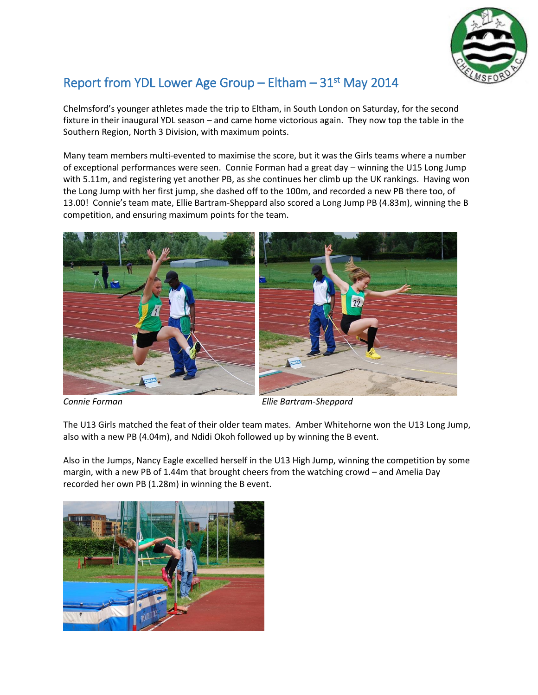

## Report from YDL Lower Age Group  $-$  Eltham  $-31$ <sup>st</sup> May 2014

Chelmsford's younger athletes made the trip to Eltham, in South London on Saturday, for the second fixture in their inaugural YDL season – and came home victorious again. They now top the table in the Southern Region, North 3 Division, with maximum points.

Many team members multi-evented to maximise the score, but it was the Girls teams where a number of exceptional performances were seen. Connie Forman had a great day – winning the U15 Long Jump with 5.11m, and registering yet another PB, as she continues her climb up the UK rankings. Having won the Long Jump with her first jump, she dashed off to the 100m, and recorded a new PB there too, of 13.00! Connie's team mate, Ellie Bartram-Sheppard also scored a Long Jump PB (4.83m), winning the B competition, and ensuring maximum points for the team.



*Connie Forman Ellie Bartram-Sheppard*

The U13 Girls matched the feat of their older team mates. Amber Whitehorne won the U13 Long Jump, also with a new PB (4.04m), and Ndidi Okoh followed up by winning the B event.

Also in the Jumps, Nancy Eagle excelled herself in the U13 High Jump, winning the competition by some margin, with a new PB of 1.44m that brought cheers from the watching crowd – and Amelia Day recorded her own PB (1.28m) in winning the B event.

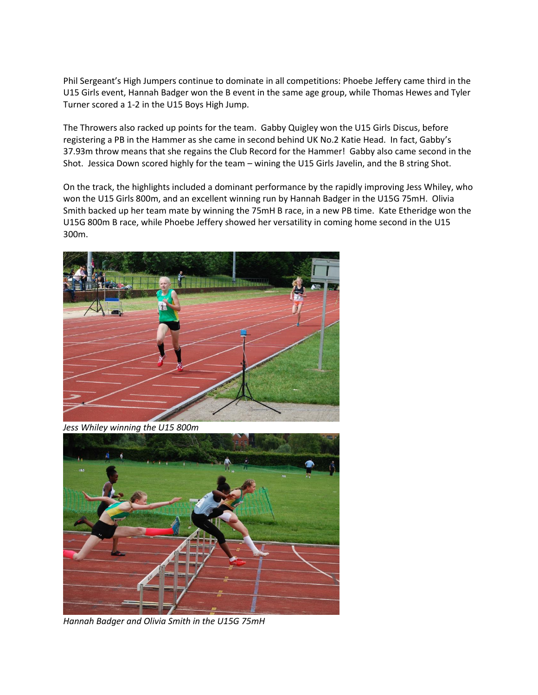Phil Sergeant's High Jumpers continue to dominate in all competitions: Phoebe Jeffery came third in the U15 Girls event, Hannah Badger won the B event in the same age group, while Thomas Hewes and Tyler Turner scored a 1-2 in the U15 Boys High Jump.

The Throwers also racked up points for the team. Gabby Quigley won the U15 Girls Discus, before registering a PB in the Hammer as she came in second behind UK No.2 Katie Head. In fact, Gabby's 37.93m throw means that she regains the Club Record for the Hammer! Gabby also came second in the Shot. Jessica Down scored highly for the team – wining the U15 Girls Javelin, and the B string Shot.

On the track, the highlights included a dominant performance by the rapidly improving Jess Whiley, who won the U15 Girls 800m, and an excellent winning run by Hannah Badger in the U15G 75mH. Olivia Smith backed up her team mate by winning the 75mH B race, in a new PB time. Kate Etheridge won the U15G 800m B race, while Phoebe Jeffery showed her versatility in coming home second in the U15 300m.



*Jess Whiley winning the U15 800m*



*Hannah Badger and Olivia Smith in the U15G 75mH*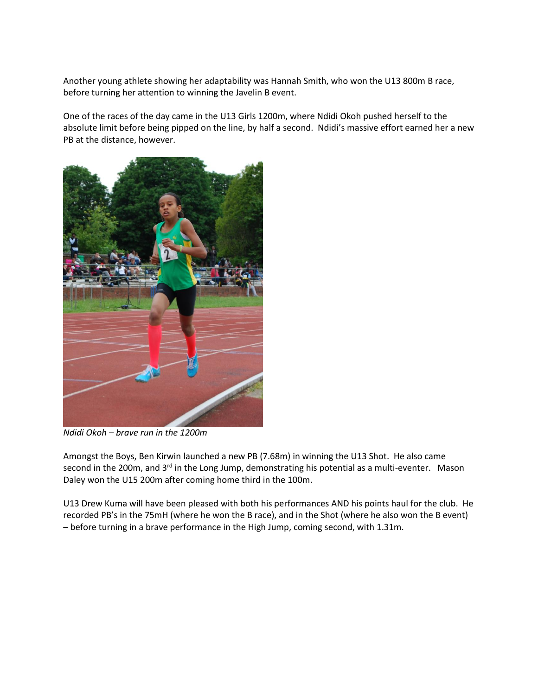Another young athlete showing her adaptability was Hannah Smith, who won the U13 800m B race, before turning her attention to winning the Javelin B event.

One of the races of the day came in the U13 Girls 1200m, where Ndidi Okoh pushed herself to the absolute limit before being pipped on the line, by half a second. Ndidi's massive effort earned her a new PB at the distance, however.



*Ndidi Okoh – brave run in the 1200m*

Amongst the Boys, Ben Kirwin launched a new PB (7.68m) in winning the U13 Shot. He also came second in the 200m, and 3<sup>rd</sup> in the Long Jump, demonstrating his potential as a multi-eventer. Mason Daley won the U15 200m after coming home third in the 100m.

U13 Drew Kuma will have been pleased with both his performances AND his points haul for the club. He recorded PB's in the 75mH (where he won the B race), and in the Shot (where he also won the B event) – before turning in a brave performance in the High Jump, coming second, with 1.31m.